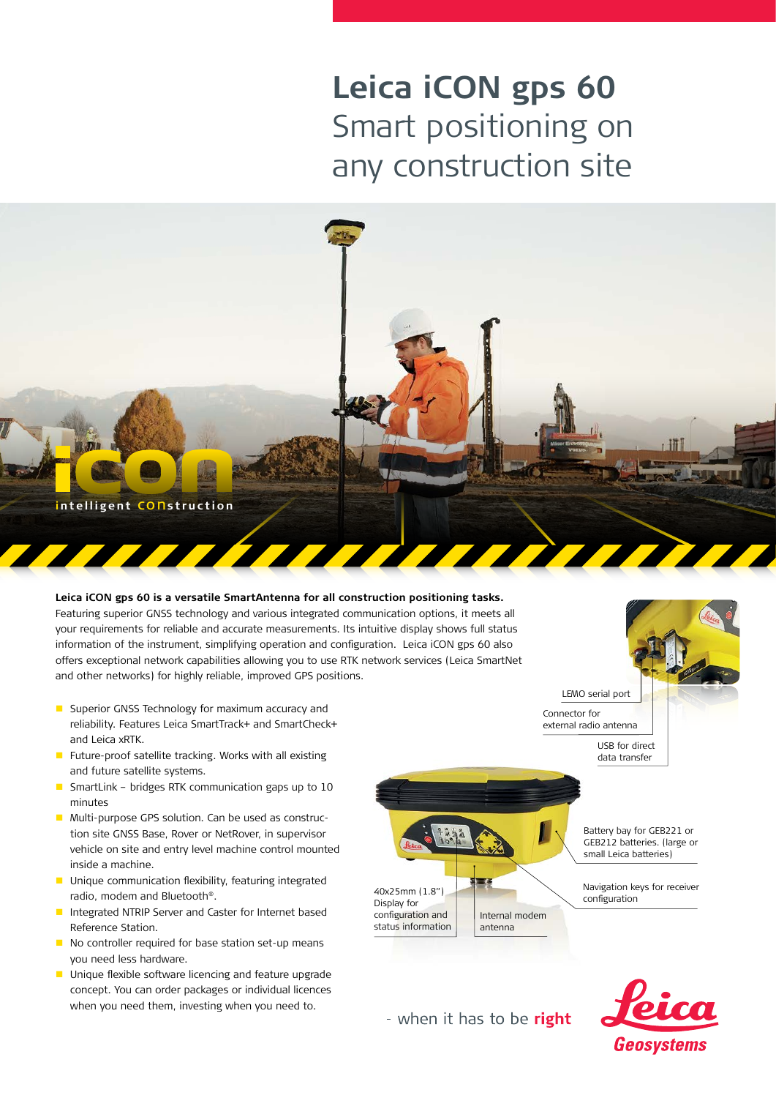# **Leica iCON gps 60**  Smart positioning on any construction site



#### **Leica iCON gps 60 is a versatile SmartAntenna for all construction positioning tasks.**

Featuring superior GNSS technology and various integrated communication options, it meets all your requirements for reliable and accurate measurements. Its intuitive display shows full status information of the instrument, simplifying operation and configuration. Leica iCON gps 60 also offers exceptional network capabilities allowing you to use RTK network services (Leica SmartNet and other networks) for highly reliable, improved GPS positions.

- Superior GNSS Technology for maximum accuracy and reliability. Features Leica SmartTrack+ and SmartCheck+ and Leica xRTK.
- Future-proof satellite tracking. Works with all existing and future satellite systems.
- **SmartLink bridges RTK communication gaps up to 10** minutes
- **Multi-purpose GPS solution. Can be used as construc**tion site GNSS Base, Rover or NetRover, in supervisor vehicle on site and entry level machine control mounted inside a machine.
- **Unique communication flexibility, featuring integrated** radio, modem and Bluetooth®.
- Integrated NTRIP Server and Caster for Internet based Reference Station.
- No controller required for base station set-up means you need less hardware.
- **Unique flexible software licencing and feature upgrade** concept. You can order packages or individual licences when you need them, investing when you need to.



- when it has to be right

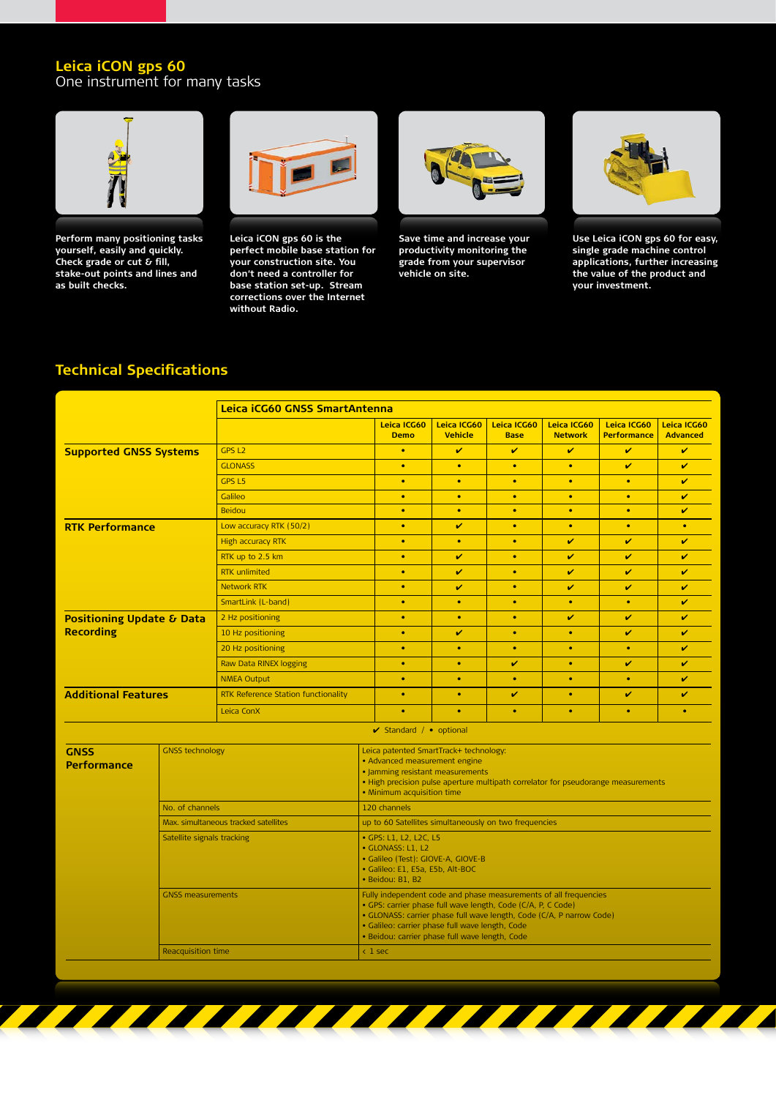#### **Leica iCON gps 60** One instrument for many tasks



**Perform many positioning tasks yourself, easily and quickly. Check grade or cut & fill, stake-out points and lines and as built checks.** 



**Leica iCON gps 60 is the perfect mobile base station for your construction site. You don't need a controller for base station set-up. Stream corrections over the Internet without Radio.**



**Save time and increase your productivity monitoring the grade from your supervisor vehicle on site.**



**Use Leica iCON gps 60 for easy, single grade machine control applications, further increasing the value of the product and your investment.**

## **Technical Specifications**

|                                                          |                                      | Leica iCG60 GNSS SmartAntenna       |                                                                                                                                                                                                                                                                                                               |                            |                               |                            |                               |                                   |                                |
|----------------------------------------------------------|--------------------------------------|-------------------------------------|---------------------------------------------------------------------------------------------------------------------------------------------------------------------------------------------------------------------------------------------------------------------------------------------------------------|----------------------------|-------------------------------|----------------------------|-------------------------------|-----------------------------------|--------------------------------|
|                                                          |                                      |                                     |                                                                                                                                                                                                                                                                                                               | Leica ICG60<br><b>Demo</b> | Leica ICG60<br><b>Vehicle</b> | Leica ICG60<br><b>Base</b> | Leica ICG60<br><b>Network</b> | Leica ICG60<br><b>Performance</b> | Leica ICG60<br><b>Advanced</b> |
| <b>Supported GNSS Systems</b>                            |                                      | GPS L <sub>2</sub>                  |                                                                                                                                                                                                                                                                                                               | $\bullet$                  | V                             | V                          | V                             | V                                 | V                              |
|                                                          |                                      | <b>GLONASS</b>                      |                                                                                                                                                                                                                                                                                                               | $\bullet$                  | $\bullet$                     | $\bullet$                  | $\bullet$                     | V                                 | V                              |
|                                                          |                                      | GPS <sub>L5</sub>                   |                                                                                                                                                                                                                                                                                                               | $\bullet$                  | $\bullet$                     | $\bullet$                  | $\bullet$                     | $\bullet$                         | v                              |
|                                                          |                                      | Galileo                             |                                                                                                                                                                                                                                                                                                               | $\bullet$                  | $\bullet$                     | $\bullet$                  | $\bullet$                     | $\bullet$                         | v                              |
|                                                          |                                      | <b>Beidou</b>                       |                                                                                                                                                                                                                                                                                                               | $\bullet$                  | $\bullet$                     | $\bullet$                  | $\bullet$                     | $\bullet$                         | V                              |
| <b>RTK Performance</b>                                   |                                      | Low accuracy RTK (50/2)             |                                                                                                                                                                                                                                                                                                               | $\bullet$                  | V                             | $\bullet$                  | $\bullet$                     | $\bullet$                         | $\bullet$                      |
|                                                          |                                      | <b>High accuracy RTK</b>            |                                                                                                                                                                                                                                                                                                               | $\bullet$                  | $\bullet$                     | $\bullet$                  | v                             | v                                 | V                              |
|                                                          |                                      | RTK up to 2.5 km                    |                                                                                                                                                                                                                                                                                                               | $\bullet$                  | V                             | $\bullet$                  | V                             | V                                 | V                              |
|                                                          |                                      | <b>RTK</b> unlimited                |                                                                                                                                                                                                                                                                                                               | $\bullet$                  | V                             | $\bullet$                  | V                             | V                                 | V                              |
|                                                          |                                      | <b>Network RTK</b>                  |                                                                                                                                                                                                                                                                                                               | $\bullet$                  | V                             | ۰                          | V                             | V                                 | V                              |
|                                                          |                                      | SmartLink (L-band)                  |                                                                                                                                                                                                                                                                                                               | $\bullet$                  | $\bullet$                     | $\bullet$                  | $\bullet$                     | $\bullet$                         | V                              |
| <b>Positioning Update &amp; Data</b><br><b>Recording</b> |                                      | 2 Hz positioning                    |                                                                                                                                                                                                                                                                                                               | $\bullet$                  | $\bullet$                     | $\bullet$                  | V                             | V                                 | V                              |
|                                                          |                                      | 10 Hz positioning                   |                                                                                                                                                                                                                                                                                                               | $\bullet$                  | V                             | $\bullet$                  | $\bullet$                     | V                                 | V                              |
|                                                          |                                      | 20 Hz positioning                   |                                                                                                                                                                                                                                                                                                               | $\bullet$                  | $\bullet$                     | $\bullet$                  | $\bullet$                     | $\bullet$                         | V                              |
|                                                          |                                      | Raw Data RINEX logging              |                                                                                                                                                                                                                                                                                                               | $\bullet$                  | $\bullet$                     | v                          | $\bullet$                     | v                                 | v                              |
|                                                          |                                      | <b>NMEA Output</b>                  |                                                                                                                                                                                                                                                                                                               | $\bullet$                  | $\bullet$                     | $\bullet$                  | $\bullet$                     | $\bullet$                         | V                              |
| <b>Additional Features</b>                               |                                      | RTK Reference Station functionality |                                                                                                                                                                                                                                                                                                               | ۰                          | ٠                             | V                          | $\bullet$                     | v                                 | v                              |
|                                                          |                                      | Leica ConX                          |                                                                                                                                                                                                                                                                                                               | $\bullet$                  | $\bullet$                     | $\bullet$                  | $\bullet$                     | $\bullet$                         | ۰                              |
|                                                          |                                      |                                     |                                                                                                                                                                                                                                                                                                               | ✔ Standard / • optional    |                               |                            |                               |                                   |                                |
| <b>GNSS</b><br><b>Performance</b>                        | <b>GNSS technology</b>               |                                     | Leica patented SmartTrack+ technology:<br>• Advanced measurement engine<br>· Jamming resistant measurements<br>. High precision pulse aperture multipath correlator for pseudorange measurements<br>. Minimum acquisition time                                                                                |                            |                               |                            |                               |                                   |                                |
|                                                          | No. of channels                      |                                     | 120 channels                                                                                                                                                                                                                                                                                                  |                            |                               |                            |                               |                                   |                                |
|                                                          | Max. simultaneous tracked satellites |                                     | up to 60 Satellites simultaneously on two frequencies                                                                                                                                                                                                                                                         |                            |                               |                            |                               |                                   |                                |
|                                                          | Satellite signals tracking           |                                     | • GPS: L1, L2, L2C, L5<br>· GLONASS: L1, L2<br>· Galileo (Test): GIOVE-A, GIOVE-B<br>· Galileo: E1, E5a, E5b, Alt-BOC<br>· Beidou: B1, B2                                                                                                                                                                     |                            |                               |                            |                               |                                   |                                |
|                                                          | <b>GNSS measurements</b>             |                                     | Fully independent code and phase measurements of all frequencies<br>· GPS: carrier phase full wave length, Code (C/A, P, C Code)<br>· GLONASS: carrier phase full wave length, Code (C/A, P narrow Code)<br>· Galileo: carrier phase full wave length, Code<br>· Beidou: carrier phase full wave length, Code |                            |                               |                            |                               |                                   |                                |
|                                                          | <b>Reacquisition time</b>            |                                     | $< 1$ sec                                                                                                                                                                                                                                                                                                     |                            |                               |                            |                               |                                   |                                |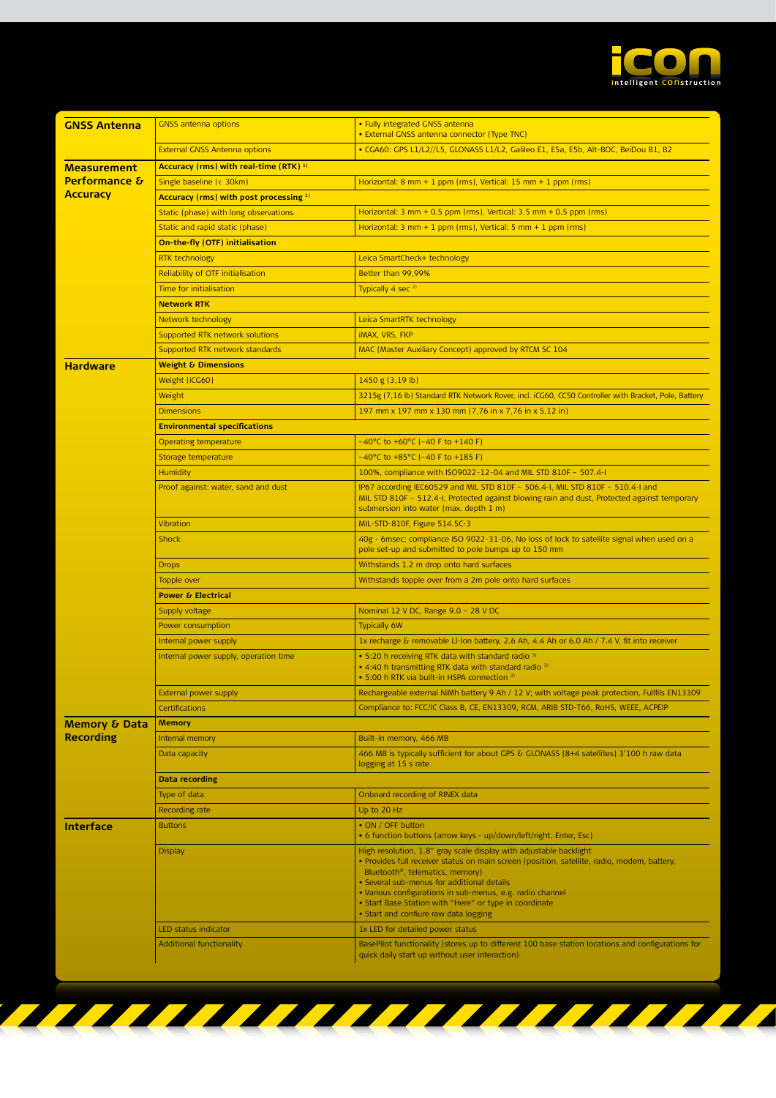

| <b>GNSS Antenna</b>      | <b>GNSS antenna options</b>                                                               | · Fully integrated GNSS antenna<br>· External GNSS antenna connector (Type TNC)                                                                                                                                                                                                                                                                                                                                                                                     |  |  |  |  |  |
|--------------------------|-------------------------------------------------------------------------------------------|---------------------------------------------------------------------------------------------------------------------------------------------------------------------------------------------------------------------------------------------------------------------------------------------------------------------------------------------------------------------------------------------------------------------------------------------------------------------|--|--|--|--|--|
|                          | <b>External GNSS Antenna options</b>                                                      | · CGA60: GPS L1/L2//L5, GLONASS L1/L2, Galileo E1, E5a, E5b, Alt-BOC, BeiDou B1, B2                                                                                                                                                                                                                                                                                                                                                                                 |  |  |  |  |  |
| <b>Measurement</b>       | Accuracy (rms) with real-time (RTK) 1)                                                    |                                                                                                                                                                                                                                                                                                                                                                                                                                                                     |  |  |  |  |  |
| <b>Performance &amp;</b> | Single baseline (< 30km)<br>Horizontal: 8 mm + 1 ppm (rms), Vertical: 15 mm + 1 ppm (rms) |                                                                                                                                                                                                                                                                                                                                                                                                                                                                     |  |  |  |  |  |
| <b>Accuracy</b>          | Accuracy (rms) with post processing 1)                                                    |                                                                                                                                                                                                                                                                                                                                                                                                                                                                     |  |  |  |  |  |
|                          | Static (phase) with long observations                                                     | Horizontal: 3 mm + 0.5 ppm (rms), Vertical: 3.5 mm + 0.5 ppm (rms)                                                                                                                                                                                                                                                                                                                                                                                                  |  |  |  |  |  |
|                          | Static and rapid static (phase)                                                           | Horizontal: 3 mm + 1 ppm (rms), Vertical: 5 mm + 1 ppm (rms)                                                                                                                                                                                                                                                                                                                                                                                                        |  |  |  |  |  |
|                          | On-the-fly (OTF) initialisation                                                           |                                                                                                                                                                                                                                                                                                                                                                                                                                                                     |  |  |  |  |  |
|                          | <b>RTK technology</b>                                                                     | Leica SmartCheck+ technology                                                                                                                                                                                                                                                                                                                                                                                                                                        |  |  |  |  |  |
|                          | Reliability of OTF initialisation                                                         | Better than 99,99%                                                                                                                                                                                                                                                                                                                                                                                                                                                  |  |  |  |  |  |
|                          | <b>Time for initialisation</b>                                                            | Typically 4 sec 2)                                                                                                                                                                                                                                                                                                                                                                                                                                                  |  |  |  |  |  |
|                          | <b>Network RTK</b>                                                                        |                                                                                                                                                                                                                                                                                                                                                                                                                                                                     |  |  |  |  |  |
|                          | Network technology<br>Leica SmartRTK technology                                           |                                                                                                                                                                                                                                                                                                                                                                                                                                                                     |  |  |  |  |  |
|                          | Supported RTK network solutions                                                           | <b>iMAX, VRS, FKP</b>                                                                                                                                                                                                                                                                                                                                                                                                                                               |  |  |  |  |  |
|                          | Supported RTK network standards                                                           | MAC (Master Auxiliary Concept) approved by RTCM SC 104                                                                                                                                                                                                                                                                                                                                                                                                              |  |  |  |  |  |
| <b>Hardware</b>          | <b>Weight &amp; Dimensions</b>                                                            |                                                                                                                                                                                                                                                                                                                                                                                                                                                                     |  |  |  |  |  |
|                          | Weight (iCG60)                                                                            | 1450 g (3,19 lb)                                                                                                                                                                                                                                                                                                                                                                                                                                                    |  |  |  |  |  |
|                          | Weight                                                                                    | 3215g (7,16 lb) Standard RTK Network Rover, incl. iCG60, CC50 Controller with Bracket, Pole, Battery                                                                                                                                                                                                                                                                                                                                                                |  |  |  |  |  |
|                          |                                                                                           | 197 mm x 197 mm x 130 mm (7,76 in x 7,76 in x 5,12 in)                                                                                                                                                                                                                                                                                                                                                                                                              |  |  |  |  |  |
|                          | <b>Dimensions</b><br><b>Environmental specifications</b>                                  |                                                                                                                                                                                                                                                                                                                                                                                                                                                                     |  |  |  |  |  |
|                          | <b>Operating temperature</b>                                                              | $-40^{\circ}$ C to $+60^{\circ}$ C (-40 F to +140 F)                                                                                                                                                                                                                                                                                                                                                                                                                |  |  |  |  |  |
|                          | Storage temperature                                                                       | -40°C to +85°C (-40 F to +185 F)                                                                                                                                                                                                                                                                                                                                                                                                                                    |  |  |  |  |  |
|                          |                                                                                           | 100%, compliance with ISO9022-12-04 and MIL STD 810F - 507.4-I                                                                                                                                                                                                                                                                                                                                                                                                      |  |  |  |  |  |
|                          | <b>Humidity</b><br>Proof against: water, sand and dust                                    | IP67 according IEC60529 and MIL STD 810F - 506.4-I, MIL STD 810F - 510.4-I and                                                                                                                                                                                                                                                                                                                                                                                      |  |  |  |  |  |
|                          |                                                                                           | MIL STD 810F - 512.4-I, Protected against blowing rain and dust, Protected against temporary<br>submersion into water (max. depth 1 m)                                                                                                                                                                                                                                                                                                                              |  |  |  |  |  |
|                          | Vibration                                                                                 | MIL-STD-810F, Figure 514.5C-3                                                                                                                                                                                                                                                                                                                                                                                                                                       |  |  |  |  |  |
|                          | <b>Shock</b>                                                                              | 40g - 6msec; compliance ISO 9022-31-06, No loss of lock to satellite signal when used on a<br>pole set-up and submitted to pole bumps up to 150 mm                                                                                                                                                                                                                                                                                                                  |  |  |  |  |  |
|                          | <b>Drops</b>                                                                              | Withstands 1.2 m drop onto hard surfaces                                                                                                                                                                                                                                                                                                                                                                                                                            |  |  |  |  |  |
|                          | <b>Topple over</b>                                                                        | Withstands topple over from a 2m pole onto hard surfaces                                                                                                                                                                                                                                                                                                                                                                                                            |  |  |  |  |  |
|                          | <b>Power &amp; Electrical</b>                                                             |                                                                                                                                                                                                                                                                                                                                                                                                                                                                     |  |  |  |  |  |
|                          | Supply voltage                                                                            | Nominal 12 V DC, Range 9.0 - 28 V DC                                                                                                                                                                                                                                                                                                                                                                                                                                |  |  |  |  |  |
|                          | Power consumption                                                                         | <b>Typically 6W</b>                                                                                                                                                                                                                                                                                                                                                                                                                                                 |  |  |  |  |  |
|                          | Internal power supply                                                                     | 1x recharge & removable LI-Ion battery, 2.6 Ah, 4.4 Ah or 6.0 Ah / 7.4 V, fit into receiver                                                                                                                                                                                                                                                                                                                                                                         |  |  |  |  |  |
|                          | Internal power supply, operation time                                                     | . 5:20 h receiving RTK data with standard radio 3)<br>• 4:40 h transmitting RTK data with standard radio <sup>3)</sup><br>• 5:00 h RTK via built-in HSPA connection 31                                                                                                                                                                                                                                                                                              |  |  |  |  |  |
|                          | <b>External power supply</b>                                                              | Rechargeable external NiMh battery 9 Ah / 12 V; with voltage peak protection, Fullfils EN13309                                                                                                                                                                                                                                                                                                                                                                      |  |  |  |  |  |
|                          | Certifications                                                                            | Compliance to: FCC/IC Class B, CE, EN13309, RCM, ARIB STD-T66, RoHS, WEEE, ACPEIP                                                                                                                                                                                                                                                                                                                                                                                   |  |  |  |  |  |
| Memory & Data            | <b>Memory</b>                                                                             |                                                                                                                                                                                                                                                                                                                                                                                                                                                                     |  |  |  |  |  |
| <b>Recording</b>         | Internal memory                                                                           | Built-in memory, 466 MB                                                                                                                                                                                                                                                                                                                                                                                                                                             |  |  |  |  |  |
|                          | Data capacity                                                                             | 466 MB is typically sufficient for about GPS & GLONASS (8+4 satellites) 3'100 h raw data<br>logging at 15 s rate                                                                                                                                                                                                                                                                                                                                                    |  |  |  |  |  |
|                          | Data recording                                                                            |                                                                                                                                                                                                                                                                                                                                                                                                                                                                     |  |  |  |  |  |
|                          | Type of data                                                                              | Onboard recording of RINEX data                                                                                                                                                                                                                                                                                                                                                                                                                                     |  |  |  |  |  |
|                          | Recording rate                                                                            | Up to 20 Hz                                                                                                                                                                                                                                                                                                                                                                                                                                                         |  |  |  |  |  |
| <b>Interface</b>         | <b>Buttons</b>                                                                            | • ON / OFF button<br>• 6 function buttons (arrow keys - up/down/left/right, Enter, Esc)                                                                                                                                                                                                                                                                                                                                                                             |  |  |  |  |  |
|                          | <b>Display</b><br>LED status indicator                                                    | High resolution, 1.8" gray scale display with adjustable backlight<br>. Provides full receiver status on main screen (position, satellite, radio, modem, battery,<br>Bluetooth <sup>®</sup> , telematics, memory)<br>· Several sub-menus for additional details<br>· Various configurations in sub-menus, e.g. radio channel<br>• Start Base Station with "Here" or type in coordinate<br>• Start and confiure raw data logging<br>1x LED for detailed power status |  |  |  |  |  |
|                          | <b>Additional functionality</b>                                                           | BasePilot functionality (stores up to different 100 base station locations and configurations for                                                                                                                                                                                                                                                                                                                                                                   |  |  |  |  |  |
|                          |                                                                                           | quick daily start up without user interaction)                                                                                                                                                                                                                                                                                                                                                                                                                      |  |  |  |  |  |